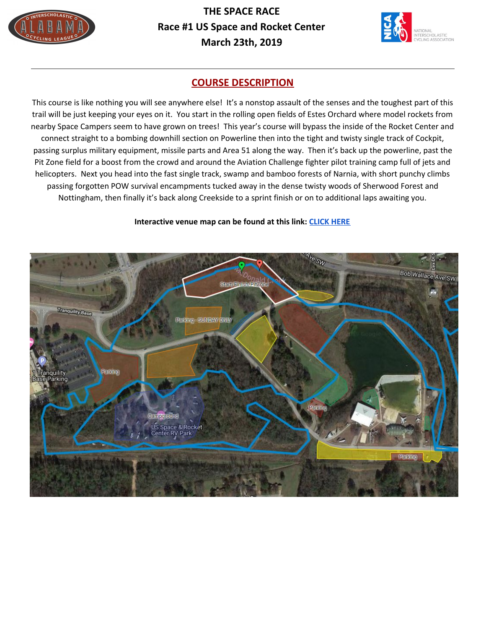

**THE SPACE RACE Race #1 US Space and Rocket Center March 23th, 2019**



### **COURSE DESCRIPTION**

This course is like nothing you will see anywhere else! It's a nonstop assault of the senses and the toughest part of this trail will be just keeping your eyes on it. You start in the rolling open fields of Estes Orchard where model rockets from nearby Space Campers seem to have grown on trees! This year's course will bypass the inside of the Rocket Center and connect straight to a bombing downhill section on Powerline then into the tight and twisty single track of Cockpit, passing surplus military equipment, missile parts and Area 51 along the way. Then it's back up the powerline, past the Pit Zone field for a boost from the crowd and around the Aviation Challenge fighter pilot training camp full of jets and helicopters. Next you head into the fast single track, swamp and bamboo forests of Narnia, with short punchy climbs passing forgotten POW survival encampments tucked away in the dense twisty woods of Sherwood Forest and Nottingham, then finally it's back along Creekside to a sprint finish or on to additional laps awaiting you.

#### **Interactive venue map can be found at this link: [CLICK](https://drive.google.com/open?id=1jedsQda2eEQ-4pAQrVJHYT6NW5s&usp=sharing) HERE**

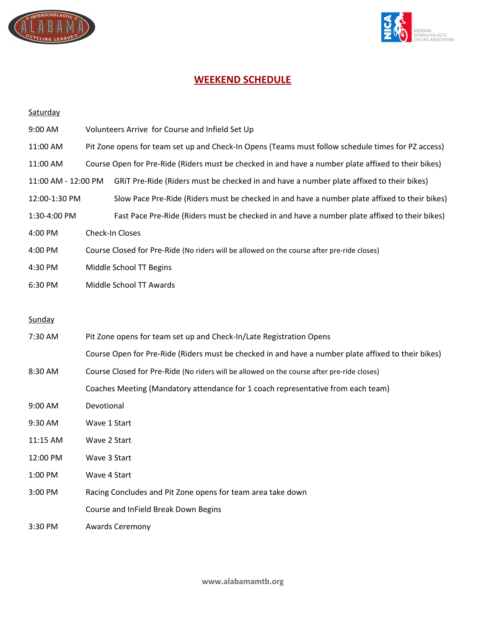



# **WEEKEND SCHEDULE**

| Saturday            |                                                                                                     |                                                                                               |  |  |
|---------------------|-----------------------------------------------------------------------------------------------------|-----------------------------------------------------------------------------------------------|--|--|
| 9:00 AM             | Volunteers Arrive for Course and Infield Set Up                                                     |                                                                                               |  |  |
| 11:00 AM            | Pit Zone opens for team set up and Check-In Opens (Teams must follow schedule times for PZ access)  |                                                                                               |  |  |
| 11:00 AM            | Course Open for Pre-Ride (Riders must be checked in and have a number plate affixed to their bikes) |                                                                                               |  |  |
| 11:00 AM - 12:00 PM |                                                                                                     | GRIT Pre-Ride (Riders must be checked in and have a number plate affixed to their bikes)      |  |  |
| 12:00-1:30 PM       |                                                                                                     | Slow Pace Pre-Ride (Riders must be checked in and have a number plate affixed to their bikes) |  |  |
| 1:30-4:00 PM        |                                                                                                     | Fast Pace Pre-Ride (Riders must be checked in and have a number plate affixed to their bikes) |  |  |
| 4:00 PM             | Check-In Closes                                                                                     |                                                                                               |  |  |
| 4:00 PM             | Course Closed for Pre-Ride (No riders will be allowed on the course after pre-ride closes)          |                                                                                               |  |  |
| 4:30 PM             | Middle School TT Begins                                                                             |                                                                                               |  |  |
| 6:30 PM             |                                                                                                     | Middle School TT Awards                                                                       |  |  |
|                     |                                                                                                     |                                                                                               |  |  |
| Sunday              |                                                                                                     |                                                                                               |  |  |
| 7:30 AM             | Pit Zone opens for team set up and Check-In/Late Registration Opens                                 |                                                                                               |  |  |
|                     | Course Open for Pre-Ride (Riders must be checked in and have a number plate affixed to their bikes) |                                                                                               |  |  |
| 8:30 AM             | Course Closed for Pre-Ride (No riders will be allowed on the course after pre-ride closes)          |                                                                                               |  |  |
|                     | Coaches Meeting (Mandatory attendance for 1 coach representative from each team)                    |                                                                                               |  |  |
| 9:00 AM             | Devotional                                                                                          |                                                                                               |  |  |
| 9:30 AM             | Wave 1 Start                                                                                        |                                                                                               |  |  |
| 11:15 AM            | Wave 2 Start                                                                                        |                                                                                               |  |  |
| 12:00 PM            | Wave 3 Start                                                                                        |                                                                                               |  |  |
| 1:00 PM             | Wave 4 Start                                                                                        |                                                                                               |  |  |
| 3:00 PM             |                                                                                                     | Racing Concludes and Pit Zone opens for team area take down                                   |  |  |
|                     |                                                                                                     | Course and InField Break Down Begins                                                          |  |  |
| 3:30 PM             |                                                                                                     | <b>Awards Ceremony</b>                                                                        |  |  |

**www.alabamamtb.org**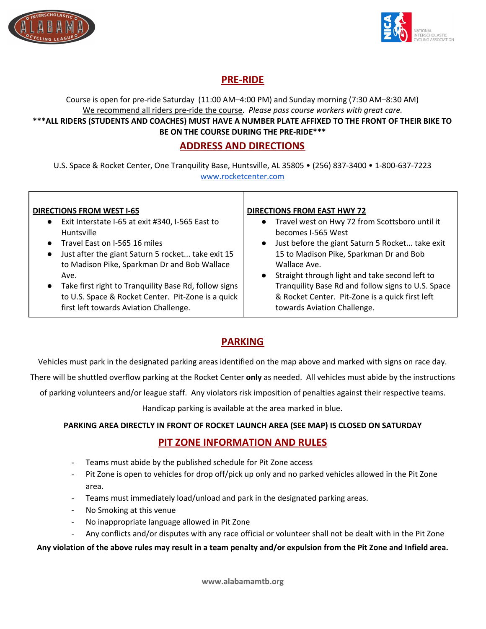



# **PRE-RIDE**

Course is open for pre-ride Saturday (11:00 AM–4:00 PM) and Sunday morning (7:30 AM–8:30 AM) We recommend all riders pre-ride the course. *Please pass course workers with great care.* \*\*\*ALL RIDERS (STUDENTS AND COACHES) MUST HAVE A NUMBER PLATE AFFIXED TO THE FRONT OF THEIR BIKE TO **BE ON THE COURSE DURING THE PRE-RIDE\*\*\***

### **ADDRESS AND DIRECTIONS**

U.S. Space & Rocket Center, One Tranquility Base, Huntsville, AL 35805 • (256) 837-3400 • 1-800-637-7223 [www.rocketcenter.com](http://www.rocketcenter.com/)

| <b>DIRECTIONS FROM WEST I-65</b><br>Exit Interstate I-65 at exit #340, I-565 East to<br>$\bullet$<br>Huntsville<br>• Travel East on I-565 16 miles<br>Just after the giant Saturn 5 rocket take exit 15<br>$\bullet$<br>to Madison Pike, Sparkman Dr and Bob Wallace<br>Ave.<br>Take first right to Tranquility Base Rd, follow signs<br>$\bullet$<br>to U.S. Space & Rocket Center. Pit-Zone is a quick<br>first left towards Aviation Challenge. | <b>DIRECTIONS FROM EAST HWY 72</b><br>Travel west on Hwy 72 from Scottsboro until it<br>$\bullet$<br>becomes I-565 West<br>Just before the giant Saturn 5 Rocket take exit<br>15 to Madison Pike, Sparkman Dr and Bob<br>Wallace Ave.<br>Straight through light and take second left to<br>Tranquility Base Rd and follow signs to U.S. Space<br>& Rocket Center. Pit-Zone is a quick first left<br>towards Aviation Challenge. |
|----------------------------------------------------------------------------------------------------------------------------------------------------------------------------------------------------------------------------------------------------------------------------------------------------------------------------------------------------------------------------------------------------------------------------------------------------|---------------------------------------------------------------------------------------------------------------------------------------------------------------------------------------------------------------------------------------------------------------------------------------------------------------------------------------------------------------------------------------------------------------------------------|
|----------------------------------------------------------------------------------------------------------------------------------------------------------------------------------------------------------------------------------------------------------------------------------------------------------------------------------------------------------------------------------------------------------------------------------------------------|---------------------------------------------------------------------------------------------------------------------------------------------------------------------------------------------------------------------------------------------------------------------------------------------------------------------------------------------------------------------------------------------------------------------------------|

# **PARKING**

Vehicles must park in the designated parking areas identified on the map above and marked with signs on race day.

There will be shuttled overflow parking at the Rocket Center **only** as needed. All vehicles must abide by the instructions

of parking volunteers and/or league staff. Any violators risk imposition of penalties against their respective teams.

Handicap parking is available at the area marked in blue.

### **PARKING AREA DIRECTLY IN FRONT OF ROCKET LAUNCH AREA (SEE MAP) IS CLOSED ON SATURDAY**

### **PIT ZONE INFORMATION AND RULES**

- Teams must abide by the published schedule for Pit Zone access
- Pit Zone is open to vehicles for drop off/pick up only and no parked vehicles allowed in the Pit Zone area.
- Teams must immediately load/unload and park in the designated parking areas.
- No Smoking at this venue
- No inappropriate language allowed in Pit Zone
- Any conflicts and/or disputes with any race official or volunteer shall not be dealt with in the Pit Zone

### Any violation of the above rules may result in a team penalty and/or expulsion from the Pit Zone and Infield area.

**www.alabamamtb.org**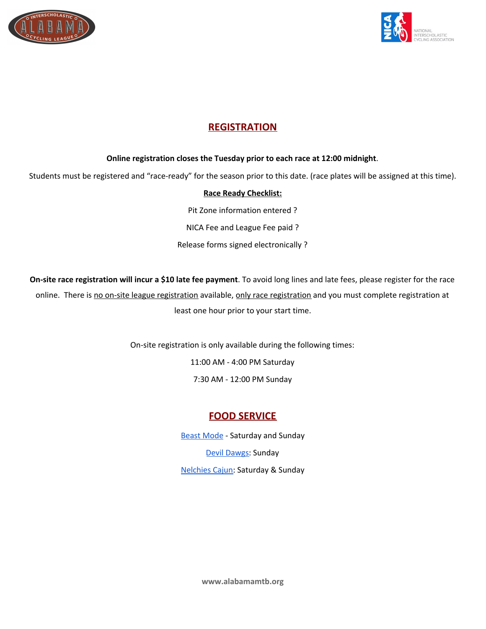



# **REGISTRATION**

### **Online registration closes the Tuesday prior to each race at 12:00 midnight**.

Students must be registered and "race-ready" for the season prior to this date. (race plates will be assigned at this time).

### **Race Ready Checklist:**

Pit Zone information entered ? NICA Fee and League Fee paid ? Release forms signed electronically ?

**On-site race registration will incur a \$10 late fee payment**. To avoid long lines and late fees, please register for the race online. There is no on-site league registration available, only race registration and you must complete registration at least one hour prior to your start time.

On-site registration is only available during the following times:

11:00 AM - 4:00 PM Saturday

7:30 AM - 12:00 PM Sunday

# **FOOD SERVICE**

**Beast [Mode](http://beastmodefoodtruck.com/) - Saturday and Sunday** Devil [Dawgs:](http://www.devildawgsconcessions.com/) Sunday [Nelchies](https://www.nelchiescajun.com/) Cajun: Saturday & Sunday

**www.alabamamtb.org**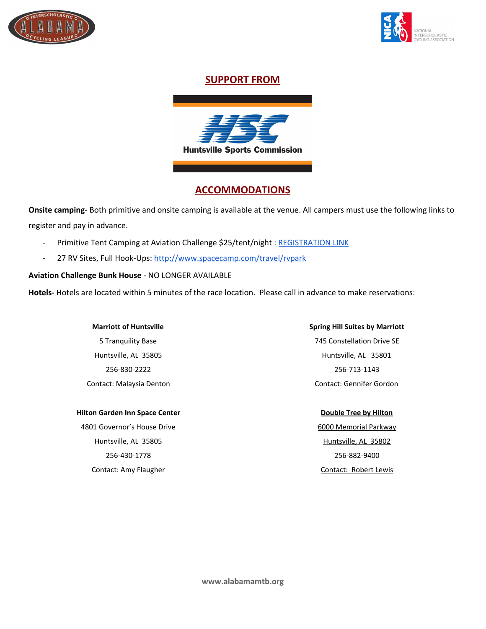



### **SUPPORT FROM**



### **ACCOMMODATIONS**

**Onsite camping**- Both primitive and onsite camping is available at the venue. All campers must use the following links to register and pay in advance.

- Primitive Tent Camping at Aviation Challenge \$25/tent/night : [REGISTRATION](https://www.eventbrite.com/e/alabama-league-race-1-us-space-and-rocket-center-camping-tickets-58382527712) LINK
- 27 RV Sites, Full Hook-Ups: <http://www.spacecamp.com/travel/rvpark>

### **Aviation Challenge Bunk House** - NO LONGER AVAILABLE

**Hotels-** Hotels are located within 5 minutes of the race location. Please call in advance to make reservations:

#### **Marriott of Huntsville**

5 Tranquility Base Huntsville, AL 35805 256-830-2222 Contact: Malaysia Denton

#### **Hilton Garden Inn Space Center**

4801 Governor's House Drive Huntsville, AL 35805 256-430-1778 Contact: Amy Flaugher

# **Spring Hill Suites by Marriott** 745 Constellation Drive SE

Huntsville, AL 35801 256-713-1143 Contact: Gennifer Gordon

#### **Double Tree by Hilton**

6000 Memorial Parkway Huntsville, AL 35802 256-882-9400 Contact: Robert Lewis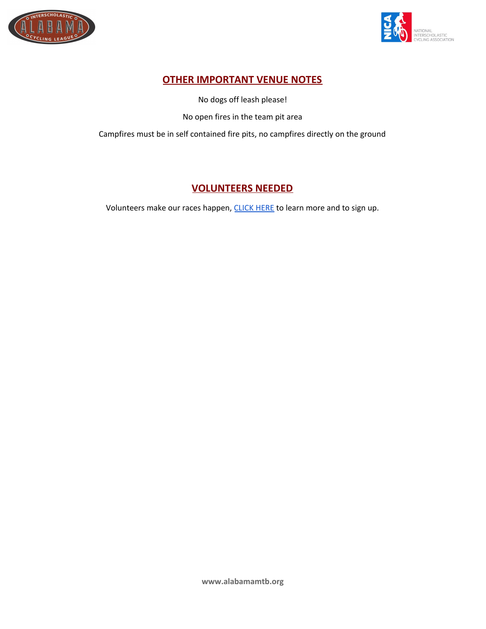



# **OTHER IMPORTANT VENUE NOTES**

No dogs off leash please!

No open fires in the team pit area

Campfires must be in self contained fire pits, no campfires directly on the ground

# **VOLUNTEERS NEEDED**

Volunteers make our races happen, [CLICK](http://signup.com/go/nemW1i) HERE to learn more and to sign up.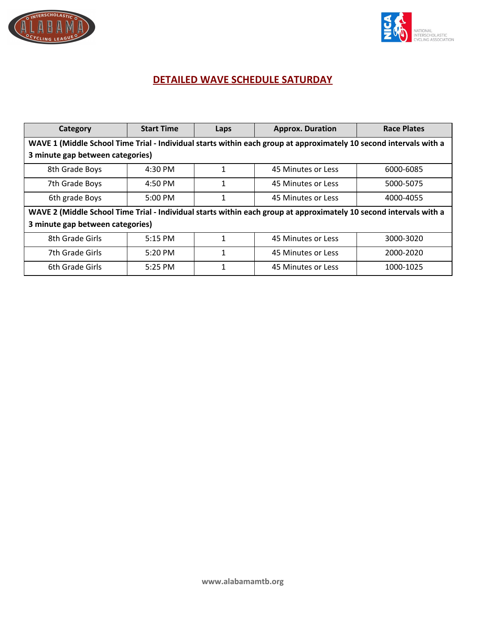



# **DETAILED WAVE SCHEDULE SATURDAY**

| Category                                                                                                           | <b>Start Time</b> | Laps | <b>Approx. Duration</b> | <b>Race Plates</b> |  |  |  |  |  |
|--------------------------------------------------------------------------------------------------------------------|-------------------|------|-------------------------|--------------------|--|--|--|--|--|
| WAVE 1 (Middle School Time Trial - Individual starts within each group at approximately 10 second intervals with a |                   |      |                         |                    |  |  |  |  |  |
| 3 minute gap between categories)                                                                                   |                   |      |                         |                    |  |  |  |  |  |
| 8th Grade Boys                                                                                                     | 4:30 PM           | 1    | 45 Minutes or Less      | 6000-6085          |  |  |  |  |  |
| 7th Grade Boys                                                                                                     | $4:50 \text{ PM}$ | 1    | 45 Minutes or Less      | 5000-5075          |  |  |  |  |  |
| 6th grade Boys                                                                                                     | $5:00$ PM         | 1    | 45 Minutes or Less      | 4000-4055          |  |  |  |  |  |
| WAVE 2 (Middle School Time Trial - Individual starts within each group at approximately 10 second intervals with a |                   |      |                         |                    |  |  |  |  |  |
| 3 minute gap between categories)                                                                                   |                   |      |                         |                    |  |  |  |  |  |
| 8th Grade Girls                                                                                                    | 5:15 PM           | 1    | 45 Minutes or Less      | 3000-3020          |  |  |  |  |  |
| 7th Grade Girls                                                                                                    | $5:20$ PM         | 1    | 45 Minutes or Less      | 2000-2020          |  |  |  |  |  |
| 6th Grade Girls                                                                                                    | 5:25 PM           | 1    | 45 Minutes or Less      | 1000-1025          |  |  |  |  |  |